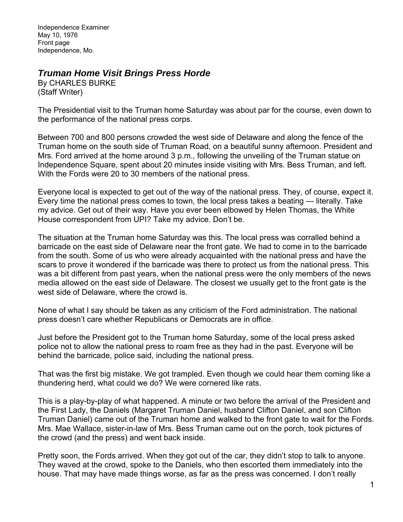Independence Examiner May 10, 1976 Front page Independence, Mo.

## *Truman Home Visit Brings Press Horde*

By CHARLES BURKE (Staff Writer)

The Presidential visit to the Truman home Saturday was about par for the course, even down to the performance of the national press corps.

Between 700 and 800 persons crowded the west side of Delaware and along the fence of the Truman home on the south side of Truman Road, on a beautiful sunny afternoon. President and Mrs. Ford arrived at the home around 3 p.m., following the unveiling of the Truman statue on Independence Square, spent about 20 minutes inside visiting with Mrs. Bess Truman, and left. With the Fords were 20 to 30 members of the national press.

Everyone local is expected to get out of the way of the national press. They, of course, expect it. Every time the national press comes to town, the local press takes a beating — literally. Take my advice. Get out of their way. Have you ever been elbowed by Helen Thomas, the White House correspondent from UPI? Take my advice. Don't be.

The situation at the Truman home Saturday was this. The local press was corralled behind a barricade on the east side of Delaware near the front gate. We had to come in to the barricade from the south. Some of us who were already acquainted with the national press and have the scars to prove it wondered if the barricade was there to protect us from the national press. This was a bit different from past years, when the national press were the only members of the news media allowed on the east side of Delaware. The closest we usually get to the front gate is the west side of Delaware, where the crowd is.

None of what I say should be taken as any criticism of the Ford administration. The national press doesn't care whether Republicans or Democrats are in office.

Just before the President got to the Truman home Saturday, some of the local press asked police not to allow the national press to roam free as they had in the past. Everyone will be behind the barricade, police said, including the national press.

That was the first big mistake. We got trampled. Even though we could hear them coming like a thundering herd, what could we do? We were cornered like rats.

This is a play-by-play of what happened. A minute or two before the arrival of the President and the First Lady, the Daniels (Margaret Truman Daniel, husband Clifton Daniel, and son Clifton Truman Daniel) came out of the Truman home and walked to the front gate to wait for the Fords. Mrs. Mae Wallace, sister-in-law of Mrs. Bess Truman came out on the porch, took pictures of the crowd (and the press) and went back inside.

Pretty soon, the Fords arrived. When they got out of the car, they didn't stop to talk to anyone. They waved at the crowd, spoke to the Daniels, who then escorted them immediately into the house. That may have made things worse, as far as the press was concerned. I don't really